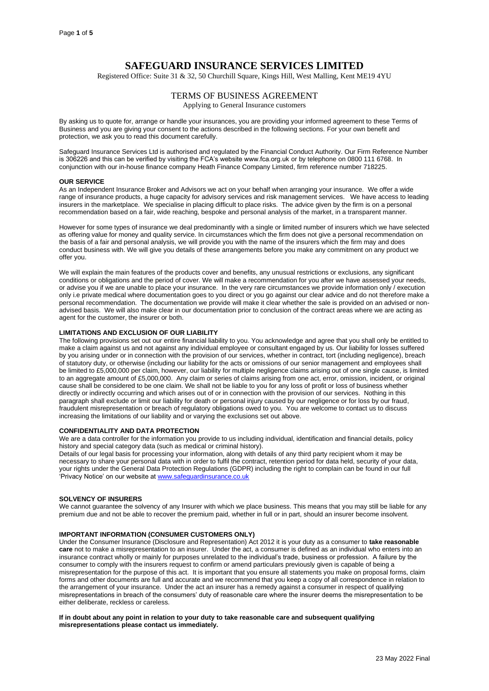# **SAFEGUARD INSURANCE SERVICES LIMITED**

Registered Office: Suite 31 & 32, 50 Churchill Square, Kings Hill, West Malling, Kent ME19 4YU

# TERMS OF BUSINESS AGREEMENT

Applying to General Insurance customers

By asking us to quote for, arrange or handle your insurances, you are providing your informed agreement to these Terms of Business and you are giving your consent to the actions described in the following sections. For your own benefit and protection, we ask you to read this document carefully.

Safeguard Insurance Services Ltd is authorised and regulated by the Financial Conduct Authority. Our Firm Reference Number is 306226 and this can be verified by visiting the FCA's website www.fca.org.uk or by telephone on 0800 111 6768. In conjunction with our in-house finance company Heath Finance Company Limited, firm reference number 718225.

#### **OUR SERVICE**

As an Independent Insurance Broker and Advisors we act on your behalf when arranging your insurance. We offer a wide range of insurance products, a huge capacity for advisory services and risk management services. We have access to leading insurers in the marketplace. We specialise in placing difficult to place risks. The advice given by the firm is on a personal recommendation based on a fair, wide reaching, bespoke and personal analysis of the market, in a transparent manner.

However for some types of insurance we deal predominantly with a single or limited number of insurers which we have selected as offering value for money and quality service. In circumstances which the firm does not give a personal recommendation on the basis of a fair and personal analysis, we will provide you with the name of the insurers which the firm may and does conduct business with. We will give you details of these arrangements before you make any commitment on any product we offer you.

We will explain the main features of the products cover and benefits, any unusual restrictions or exclusions, any significant conditions or obligations and the period of cover. We will make a recommendation for you after we have assessed your needs, or advise you if we are unable to place your insurance. In the very rare circumstances we provide information only / execution only i.e private medical where documentation goes to you direct or you go against our clear advice and do not therefore make a personal recommendation. The documentation we provide will make it clear whether the sale is provided on an advised or nonadvised basis. We will also make clear in our documentation prior to conclusion of the contract areas where we are acting as agent for the customer, the insurer or both.

#### **LIMITATIONS AND EXCLUSION OF OUR LIABILITY**

The following provisions set out our entire financial liability to you. You acknowledge and agree that you shall only be entitled to make a claim against us and not against any individual employee or consultant engaged by us. Our liability for losses suffered by you arising under or in connection with the provision of our services, whether in contract, tort (including negligence), breach of statutory duty, or otherwise (including our liability for the acts or omissions of our senior management and employees shall be limited to £5,000,000 per claim, however, our liability for multiple negligence claims arising out of one single cause, is limited to an aggregate amount of £5,000,000. Any claim or series of claims arising from one act, error, omission, incident, or original cause shall be considered to be one claim. We shall not be liable to you for any loss of profit or loss of business whether directly or indirectly occurring and which arises out of or in connection with the provision of our services. Nothing in this paragraph shall exclude or limit our liability for death or personal injury caused by our negligence or for loss by our fraud, fraudulent misrepresentation or breach of regulatory obligations owed to you. You are welcome to contact us to discuss increasing the limitations of our liability and or varying the exclusions set out above.

#### **CONFIDENTIALITY AND DATA PROTECTION**

We are a data controller for the information you provide to us including individual, identification and financial details, policy history and special category data (such as medical or criminal history).

Details of our legal basis for processing your information, along with details of any third party recipient whom it may be necessary to share your personal data with in order to fulfil the contract, retention period for data held, security of your data, your rights under the General Data Protection Regulations (GDPR) including the right to complain can be found in our full 'Privacy Notice' on our website at [www.safeguardinsurance.co.uk](http://www.safeguardinsurance.co.uk/)

#### **SOLVENCY OF INSURERS**

We cannot guarantee the solvency of any Insurer with which we place business. This means that you may still be liable for any premium due and not be able to recover the premium paid, whether in full or in part, should an insurer become insolvent.

# **IMPORTANT INFORMATION (CONSUMER CUSTOMERS ONLY)**

Under the Consumer Insurance (Disclosure and Representation) Act 2012 it is your duty as a consumer to **take reasonable care** not to make a misrepresentation to an insurer. Under the act, a consumer is defined as an individual who enters into an insurance contract wholly or mainly for purposes unrelated to the individual's trade, business or profession. A failure by the consumer to comply with the insurers request to confirm or amend particulars previously given is capable of being a misrepresentation for the purpose of this act. It is important that you ensure all statements you make on proposal forms, claim forms and other documents are full and accurate and we recommend that you keep a copy of all correspondence in relation to the arrangement of your insurance. Under the act an insurer has a remedy against a consumer in respect of qualifying misrepresentations in breach of the consumers' duty of reasonable care where the insurer deems the misrepresentation to be either deliberate, reckless or careless.

**If in doubt about any point in relation to your duty to take reasonable care and subsequent qualifying misrepresentations please contact us immediately.**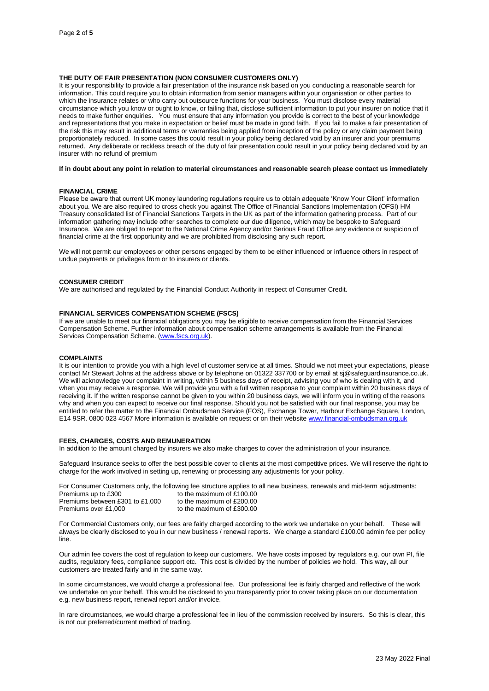# **THE DUTY OF FAIR PRESENTATION (NON CONSUMER CUSTOMERS ONLY)**

It is your responsibility to provide a fair presentation of the insurance risk based on you conducting a reasonable search for information. This could require you to obtain information from senior managers within your organisation or other parties to which the insurance relates or who carry out outsource functions for your business. You must disclose every material circumstance which you know or ought to know, or failing that, disclose sufficient information to put your insurer on notice that it needs to make further enquiries. You must ensure that any information you provide is correct to the best of your knowledge and representations that you make in expectation or belief must be made in good faith. If you fail to make a fair presentation of the risk this may result in additional terms or warranties being applied from inception of the policy or any claim payment being proportionately reduced. In some cases this could result in your policy being declared void by an insurer and your premiums returned. Any deliberate or reckless breach of the duty of fair presentation could result in your policy being declared void by an insurer with no refund of premium

# **If in doubt about any point in relation to material circumstances and reasonable search please contact us immediately**

#### **FINANCIAL CRIME**

Please be aware that current UK money laundering regulations require us to obtain adequate 'Know Your Client' information about you. We are also required to cross check you against The Office of Financial Sanctions Implementation (OFSI) HM Treasury consolidated list of Financial Sanctions Targets in the UK as part of the information gathering process. Part of our information gathering may include other searches to complete our due diligence, which may be bespoke to Safeguard Insurance. We are obliged to report to the National Crime Agency and/or Serious Fraud Office any evidence or suspicion of financial crime at the first opportunity and we are prohibited from disclosing any such report.

We will not permit our employees or other persons engaged by them to be either influenced or influence others in respect of undue payments or privileges from or to insurers or clients.

#### **CONSUMER CREDIT**

We are authorised and regulated by the Financial Conduct Authority in respect of Consumer Credit.

# **FINANCIAL SERVICES COMPENSATION SCHEME (FSCS)**

If we are unable to meet our financial obligations you may be eligible to receive compensation from the Financial Services Compensation Scheme. Further information about compensation scheme arrangements is available from the Financial Services Compensation Scheme. [\(www.fscs.org.uk\)](http://www.fscs.org.uk/).

#### **COMPLAINTS**

It is our intention to provide you with a high level of customer service at all times. Should we not meet your expectations, please contact Mr Stewart Johns at the address above or by telephone on 01322 337700 or by email at sj@safeguardinsurance.co.uk. We will acknowledge your complaint in writing, within 5 business days of receipt, advising you of who is dealing with it, and when you may receive a response. We will provide you with a full written response to your complaint within 20 business days of receiving it. If the written response cannot be given to you within 20 business days, we will inform you in writing of the reasons why and when you can expect to receive our final response. Should you not be satisfied with our final response, you may be entitled to refer the matter to the Financial Ombudsman Service (FOS), Exchange Tower, Harbour Exchange Square, London, E14 9SR. 0800 023 4567 More information is available on request or on their websit[e www.financial-ombudsman.org.uk](http://www.financial-ombudsman.org.uk/)

# **FEES, CHARGES, COSTS AND REMUNERATION**

In addition to the amount charged by insurers we also make charges to cover the administration of your insurance.

Safeguard Insurance seeks to offer the best possible cover to clients at the most competitive prices. We will reserve the right to charge for the work involved in setting up, renewing or processing any adjustments for your policy.

|                                 | For Consumer Customers only, the following fee structure applies to all new business, renewals and mid-term adjustments: |
|---------------------------------|--------------------------------------------------------------------------------------------------------------------------|
| Premiums up to £300             | to the maximum of £100.00                                                                                                |
| Premiums between £301 to £1,000 | to the maximum of £200.00                                                                                                |
| Premiums over £1.000            | to the maximum of £300.00                                                                                                |

For Commercial Customers only, our fees are fairly charged according to the work we undertake on your behalf. These will always be clearly disclosed to you in our new business / renewal reports. We charge a standard £100.00 admin fee per policy line.

Our admin fee covers the cost of regulation to keep our customers. We have costs imposed by regulators e.g. our own PI, file audits, regulatory fees, compliance support etc. This cost is divided by the number of policies we hold. This way, all our customers are treated fairly and in the same way.

In some circumstances, we would charge a professional fee. Our professional fee is fairly charged and reflective of the work we undertake on your behalf. This would be disclosed to you transparently prior to cover taking place on our documentation e.g. new business report, renewal report and/or invoice.

In rare circumstances, we would charge a professional fee in lieu of the commission received by insurers. So this is clear, this is not our preferred/current method of trading.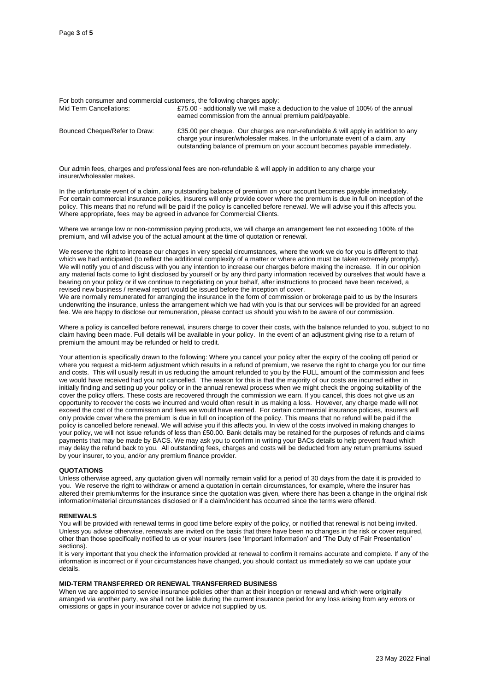| For both consumer and commercial customers, the following charges apply: |                                                                                                                                                                                                                                                    |  |
|--------------------------------------------------------------------------|----------------------------------------------------------------------------------------------------------------------------------------------------------------------------------------------------------------------------------------------------|--|
| Mid Term Cancellations:                                                  | £75.00 - additionally we will make a deduction to the value of 100% of the annual<br>earned commission from the annual premium paid/payable.                                                                                                       |  |
| Bounced Cheque/Refer to Draw:                                            | £35.00 per cheque. Our charges are non-refundable & will apply in addition to any<br>charge your insurer/wholesaler makes. In the unfortunate event of a claim, any<br>outstanding balance of premium on your account becomes payable immediately. |  |

Our admin fees, charges and professional fees are non-refundable & will apply in addition to any charge your insurer/wholesaler makes.

In the unfortunate event of a claim, any outstanding balance of premium on your account becomes payable immediately. For certain commercial insurance policies, insurers will only provide cover where the premium is due in full on inception of the policy. This means that no refund will be paid if the policy is cancelled before renewal. We will advise you if this affects you. Where appropriate, fees may be agreed in advance for Commercial Clients.

Where we arrange low or non-commission paying products, we will charge an arrangement fee not exceeding 100% of the premium, and will advise you of the actual amount at the time of quotation or renewal.

We reserve the right to increase our charges in very special circumstances, where the work we do for you is different to that which we had anticipated (to reflect the additional complexity of a matter or where action must be taken extremely promptly). We will notify you of and discuss with you any intention to increase our charges before making the increase. If in our opinion any material facts come to light disclosed by yourself or by any third party information received by ourselves that would have a bearing on your policy or if we continue to negotiating on your behalf, after instructions to proceed have been received, a revised new business / renewal report would be issued before the inception of cover.

We are normally remunerated for arranging the insurance in the form of commission or brokerage paid to us by the Insurers underwriting the insurance, unless the arrangement which we had with you is that our services will be provided for an agreed fee. We are happy to disclose our remuneration, please contact us should you wish to be aware of our commission.

Where a policy is cancelled before renewal, insurers charge to cover their costs, with the balance refunded to you, subject to no claim having been made. Full details will be available in your policy. In the event of an adjustment giving rise to a return of premium the amount may be refunded or held to credit.

Your attention is specifically drawn to the following: Where you cancel your policy after the expiry of the cooling off period or where you request a mid-term adjustment which results in a refund of premium, we reserve the right to charge you for our time and costs. This will usually result in us reducing the amount refunded to you by the FULL amount of the commission and fees we would have received had you not cancelled. The reason for this is that the majority of our costs are incurred either in initially finding and setting up your policy or in the annual renewal process when we might check the ongoing suitability of the cover the policy offers. These costs are recovered through the commission we earn. If you cancel, this does not give us an opportunity to recover the costs we incurred and would often result in us making a loss. However, any charge made will not exceed the cost of the commission and fees we would have earned. For certain commercial insurance policies, insurers will only provide cover where the premium is due in full on inception of the policy. This means that no refund will be paid if the policy is cancelled before renewal. We will advise you if this affects you. In view of the costs involved in making changes to your policy, we will not issue refunds of less than £50.00. Bank details may be retained for the purposes of refunds and claims payments that may be made by BACS. We may ask you to confirm in writing your BACs details to help prevent fraud which may delay the refund back to you. All outstanding fees, charges and costs will be deducted from any return premiums issued by your insurer, to you, and/or any premium finance provider.

#### **QUOTATIONS**

Unless otherwise agreed, any quotation given will normally remain valid for a period of 30 days from the date it is provided to you. We reserve the right to withdraw or amend a quotation in certain circumstances, for example, where the insurer has altered their premium/terms for the insurance since the quotation was given, where there has been a change in the original risk information/material circumstances disclosed or if a claim/incident has occurred since the terms were offered.

#### **RENEWALS**

You will be provided with renewal terms in good time before expiry of the policy, or notified that renewal is not being invited. Unless you advise otherwise, renewals are invited on the basis that there have been no changes in the risk or cover required, other than those specifically notified to us or your insurers (see 'Important Information' and 'The Duty of Fair Presentation' sections).

It is very important that you check the information provided at renewal to confirm it remains accurate and complete. If any of the information is incorrect or if your circumstances have changed, you should contact us immediately so we can update your details.

#### **MID-TERM TRANSFERRED OR RENEWAL TRANSFERRED BUSINESS**

When we are appointed to service insurance policies other than at their inception or renewal and which were originally arranged via another party, we shall not be liable during the current insurance period for any loss arising from any errors or omissions or gaps in your insurance cover or advice not supplied by us.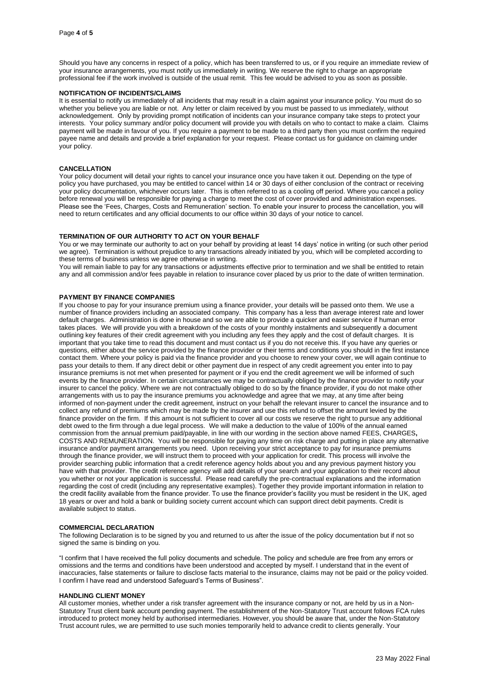Should you have any concerns in respect of a policy, which has been transferred to us, or if you require an immediate review of your insurance arrangements, you must notify us immediately in writing. We reserve the right to charge an appropriate professional fee if the work involved is outside of the usual remit. This fee would be advised to you as soon as possible.

#### **NOTIFICATION OF INCIDENTS/CLAIMS**

It is essential to notify us immediately of all incidents that may result in a claim against your insurance policy. You must do so whether you believe you are liable or not. Any letter or claim received by you must be passed to us immediately, without acknowledgement. Only by providing prompt notification of incidents can your insurance company take steps to protect your interests. Your policy summary and/or policy document will provide you with details on who to contact to make a claim. Claims payment will be made in favour of you. If you require a payment to be made to a third party then you must confirm the required payee name and details and provide a brief explanation for your request. Please contact us for guidance on claiming under your policy.

# **CANCELLATION**

Your policy document will detail your rights to cancel your insurance once you have taken it out. Depending on the type of policy you have purchased, you may be entitled to cancel within 14 or 30 days of either conclusion of the contract or receiving your policy documentation, whichever occurs later. This is often referred to as a cooling off period. Where you cancel a policy before renewal you will be responsible for paying a charge to meet the cost of cover provided and administration expenses. Please see the 'Fees, Charges, Costs and Remuneration' section. To enable your insurer to process the cancellation, you will need to return certificates and any official documents to our office within 30 days of your notice to cancel.

#### **TERMINATION OF OUR AUTHORITY TO ACT ON YOUR BEHALF**

You or we may terminate our authority to act on your behalf by providing at least 14 days' notice in writing (or such other period we agree). Termination is without prejudice to any transactions already initiated by you, which will be completed according to these terms of business unless we agree otherwise in writing.

You will remain liable to pay for any transactions or adjustments effective prior to termination and we shall be entitled to retain any and all commission and/or fees payable in relation to insurance cover placed by us prior to the date of written termination.

# **PAYMENT BY FINANCE COMPANIES**

If you choose to pay for your insurance premium using a finance provider, your details will be passed onto them. We use a number of finance providers including an associated company. This company has a less than average interest rate and lower default charges. Administration is done in house and so we are able to provide a quicker and easier service if human error takes places. We will provide you with a breakdown of the costs of your monthly instalments and subsequently a document outlining key features of their credit agreement with you including any fees they apply and the cost of default charges. It is important that you take time to read this document and must contact us if you do not receive this. If you have any queries or questions, either about the service provided by the finance provider or their terms and conditions you should in the first instance contact them. Where your policy is paid via the finance provider and you choose to renew your cover, we will again continue to pass your details to them. If any direct debit or other payment due in respect of any credit agreement you enter into to pay insurance premiums is not met when presented for payment or if you end the credit agreement we will be informed of such events by the finance provider. In certain circumstances we may be contractually obliged by the finance provider to notify your insurer to cancel the policy. Where we are not contractually obliged to do so by the finance provider, if you do not make other arrangements with us to pay the insurance premiums you acknowledge and agree that we may, at any time after being informed of non-payment under the credit agreement, instruct on your behalf the relevant insurer to cancel the insurance and to collect any refund of premiums which may be made by the insurer and use this refund to offset the amount levied by the finance provider on the firm. If this amount is not sufficient to cover all our costs we reserve the right to pursue any additional debt owed to the firm through a due legal process. We will make a deduction to the value of 100% of the annual earned commission from the annual premium paid/payable, in line with our wording in the section above named FEES, CHARGES**,**  COSTS AND REMUNERATION. You will be responsible for paying any time on risk charge and putting in place any alternative insurance and/or payment arrangements you need. Upon receiving your strict acceptance to pay for insurance premiums through the finance provider, we will instruct them to proceed with your application for credit. This process will involve the provider searching public information that a credit reference agency holds about you and any previous payment history you have with that provider. The credit reference agency will add details of your search and your application to their record about you whether or not your application is successful. Please read carefully the pre-contractual explanations and the information regarding the cost of credit (including any representative examples). Together they provide important information in relation to the credit facility available from the finance provider. To use the finance provider's facility you must be resident in the UK, aged 18 years or over and hold a bank or building society current account which can support direct debit payments. Credit is available subject to status.

# **COMMERCIAL DECLARATION**

The following Declaration is to be signed by you and returned to us after the issue of the policy documentation but if not so signed the same is binding on you.

"I confirm that I have received the full policy documents and schedule. The policy and schedule are free from any errors or omissions and the terms and conditions have been understood and accepted by myself. I understand that in the event of inaccuracies, false statements or failure to disclose facts material to the insurance, claims may not be paid or the policy voided. I confirm I have read and understood Safeguard's Terms of Business".

#### **HANDLING CLIENT MONEY**

All customer monies, whether under a risk transfer agreement with the insurance company or not, are held by us in a Non-Statutory Trust client bank account pending payment. The establishment of the Non-Statutory Trust account follows FCA rules introduced to protect money held by authorised intermediaries. However, you should be aware that, under the Non-Statutory Trust account rules, we are permitted to use such monies temporarily held to advance credit to clients generally. Your